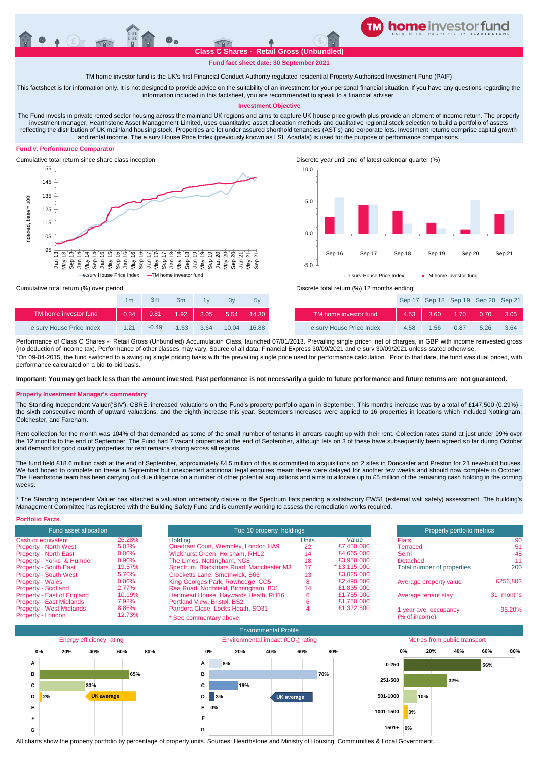

# **Fund fact sheet date: 30 September 2021**

TM home investor fund is the UK's first Financial Conduct Authority regulated residential Property Authorised Investment Fund (PAIF)

This factsheet is for information only. It is not designed to provide advice on the suitability of an investment for your personal financial situation. If you have any questions regarding the information included in this factsheet, you are recommended to speak to a financial adviser.

### **Investment Objective**

The Fund invests in private rented sector housing across the mainland UK regions and aims to capture UK house price growth plus provide an element of income return. The property investment manager, Hearthstone Asset Management Limited, uses quantitative asset allocation methods and qualitative regional stock selection to build a portfolio of assets reflecting the distribution of UK mainland housing stock. Properties are let under assured shorthold tenancies (AST's) and corporate lets. Investment returns comprise capital growth and rental income. The e.surv House Price Index (previously known as LSL Acadata) is used for the purpose of performance comparisons.

## **Fund v. Performance Comparator**



Cumulative total return since share class inception Discrete year until end of latest calendar quarter (%)



Sep 17 Sep 18 Sep 19 Sep 20 Sep 21

|                          | 1 <sub>m</sub> | 3m      | 6m      |      |       | 5V    |  |
|--------------------------|----------------|---------|---------|------|-------|-------|--|
| TM home investor fund    | 0.34           | 0.81    | 1.92    | 3.05 | 5.54  | 14.30 |  |
| e sury House Price Index | 121            | $-0.49$ | $-1.63$ | 364  | 10 Q4 | 16.88 |  |

Cumulative total return (%) over period: Discrete total return (%) 12 months ending:

| TM home investor fund    | 0.34  |         |              |       |       | TM home investor fund                                                                                                                                                           | 4.53 | 3.60 | $-1.70$ $\blacktriangle$ | 0.70 | 3.051 |
|--------------------------|-------|---------|--------------|-------|-------|---------------------------------------------------------------------------------------------------------------------------------------------------------------------------------|------|------|--------------------------|------|-------|
| e.sury House Price Index | 1 2 1 | $-0.49$ | $-1.63$ 3.64 | 10.04 | 16.88 | e.sury House Price Index                                                                                                                                                        | 4.58 | 1.56 | 0.87                     | 5.26 | 3.64  |
|                          |       |         |              |       |       | Performance of Class C Shares - Retail Gross (Unbundled) Accumulation Class, launched 07/01/2013. Prevailing single price*, net of charges, in GBP with income reinvested gross |      |      |                          |      |       |

(no deduction of income tax). Performance of other classes may vary. Source of all data: Financial Express 30/09/2021 and e.surv 30/09/2021 unless stated otherwise. \*On 09-04-2015, the fund switched to a swinging single pricing basis with the prevailing single price used for performance calculation. Prior to that date, the fund was dual priced, with performance calculated on a bid-to-bid basis.

**Important: You may get back less than the amount invested. Past performance is not necessarily a guide to future performance and future returns are not guaranteed.** 

## **Property Investment Manager's commentary**

The Standing Independent Valuer('SIV'), CBRE, increased valuations on the Fund's property portfolio again in September. This month's increase was by a total of £147,500 (0.29%) the sixth consecutive month of upward valuations, and the eighth increase this year. September's increases were applied to 16 properties in locations which included Nottingham, Colchester, and Fareham.

Rent collection for the month was 104% of that demanded as some of the small number of tenants in arrears caught up with their rent. Collection rates stand at just under 99% over the 12 months to the end of September. The Fund had 7 vacant properties at the end of September, although lets on 3 of these have subsequently been agreed so far during October and demand for good quality properties for rent remains strong across all regions.

The fund held £18.6 million cash at the end of September, approximately £4.5 million of this is committed to acquisitions on 2 sites in Doncaster and Preston for 21 new-build houses. We had hoped to complete on these in September but unexpected additional legal enquires meant these were delayed for another few weeks and should now complete in October. The Hearthstone team has been carrying out due diligence on a number of other potential acquisitions and aims to allocate up to £5 million of the remaining cash holding in the coming weeks.

\* The Standing Independent Valuer has attached a valuation uncertainty clause to the Spectrum flats pending a satisfactory EWS1 (external wall safety) assessment. The building's Management Committee has registered with the Building Safety Fund and is currently working to assess the remediation works required.

| <b>Portfolio Facts</b>          |          |                                           |                          |                |                            |           |  |
|---------------------------------|----------|-------------------------------------------|--------------------------|----------------|----------------------------|-----------|--|
| Fund asset allocation           |          |                                           | Top 10 property holdings |                |                            |           |  |
| Cash or equivalent              | 26.28%   | Holdina                                   | Units                    | Value          | <b>Flats</b>               | 90        |  |
| <b>Property - North West</b>    | 5.03%    | Quadrant Court, Wembley, London HA9       | 22                       | £7,450,000     | <b>Terraced</b>            | 51        |  |
| <b>Property - North East</b>    | $0.00\%$ | Wickhurst Green, Horsham, RH12            | 14                       | £4.665.000     | Semi                       | 48        |  |
| Property - Yorks & Humber       | 0.90%    | The Limes, Nottingham, NG8                | 18                       | £3.950.000     | <b>Detached</b>            | 11        |  |
| <b>Property - South East</b>    | 19.57%   | Spectrum, Blackfriars Road, Manchester M3 | 17                       | $*$ £3.115.000 | Total number of properties | 200       |  |
| <b>Property - South West</b>    | 5.70%    | Crocketts Lane, Smethwick, B66            | 13                       | £3,025,000     |                            |           |  |
| <b>Property - Wales</b>         | $0.00\%$ | King Georges Park, Rowhedge, CO5          |                          | £2,490,000     | Average property value     | £256,803  |  |
| <b>Property - Scotland</b>      | 2.77%    | Rea Road, Northfield, Birmingham. B31     | 14                       | £1,835,000     |                            |           |  |
| Property - East of England      | 10.19%   | Henmead House, Haywards Heath, RH16       |                          | £1.755.000     | Average tenant stay        | 31 months |  |
| <b>Property - East Midlands</b> | 7.98%    | Portland View, Bristol, BS2               |                          | £1,750,000     |                            |           |  |
| <b>Property - West Midlands</b> | 8.86%    | Pandora Close, Locks Heath, SO31          |                          | £1.372.500     | 1 year ave. occupancy      | 95.20%    |  |
| Property - London               | 12.73%   | * See commentary above.                   |                          |                | (% of income)              |           |  |



All charts show the property portfolio by percentage of property units. Sources: Hearthstone and Ministry of Housing, Communities & Local Government.